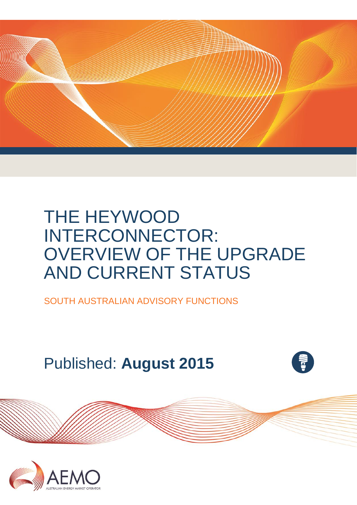

# THE HEYWOOD INTERCONNECTOR: OVERVIEW OF THE UPGRADE AND CURRENT STATUS

SOUTH AUSTRALIAN ADVISORY FUNCTIONS

# Published: **August 2015**

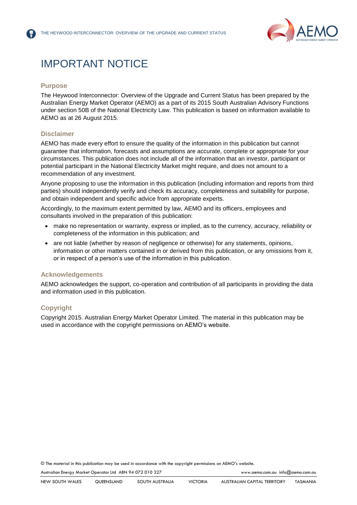

## IMPORTANT NOTICE

#### **Purpose**

The Heywood Interconnector: Overview of the Upgrade and Current Status has been prepared by the Australian Energy Market Operator (AEMO) as a part of its 2015 South Australian Advisory Functions under section 50B of the National Electricity Law. This publication is based on information available to AEMO as at 26 August 2015.

#### **Disclaimer**

AEMO has made every effort to ensure the quality of the information in this publication but cannot guarantee that information, forecasts and assumptions are accurate, complete or appropriate for your circumstances. This publication does not include all of the information that an investor, participant or potential participant in the National Electricity Market might require, and does not amount to a recommendation of any investment.

Anyone proposing to use the information in this publication (including information and reports from third parties) should independently verify and check its accuracy, completeness and suitability for purpose, and obtain independent and specific advice from appropriate experts.

Accordingly, to the maximum extent permitted by law, AEMO and its officers, employees and consultants involved in the preparation of this publication:

- make no representation or warranty, express or implied, as to the currency, accuracy, reliability or completeness of the information in this publication; and
- are not liable (whether by reason of negligence or otherwise) for any statements, opinions, information or other matters contained in or derived from this publication, or any omissions from it, or in respect of a person's use of the information in this publication.

#### **Acknowledgements**

AEMO acknowledges the support, co-operation and contribution of all participants in providing the data and information used in this publication.

#### **Copyright**

Copyright 2015. Australian Energy Market Operator Limited. The material in this publication may be used in accordance with the copyright permissions on AEMO's website.

© The material in this publication may be used in accordance with th[e copyright permissions](http://www.aemo.com.au/en/About-AEMO/Copyright-Permissions) on AEMO's website.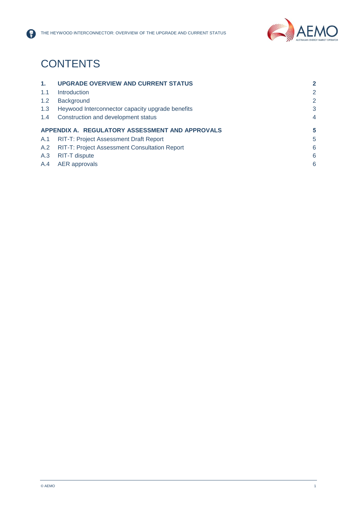

# **CONTENTS**

| $\mathbf{1}$ .                                  | <b>UPGRADE OVERVIEW AND CURRENT STATUS</b>           | $\overline{2}$ |
|-------------------------------------------------|------------------------------------------------------|----------------|
| 1.1                                             | <b>Introduction</b>                                  | $\overline{2}$ |
| 1.2                                             | Background                                           | $\overline{2}$ |
| 1.3                                             | Heywood Interconnector capacity upgrade benefits     | 3              |
| 1.4                                             | Construction and development status                  | $\overline{4}$ |
| APPENDIX A. REGULATORY ASSESSMENT AND APPROVALS |                                                      |                |
|                                                 |                                                      | 5              |
| A.1                                             | <b>RIT-T: Project Assessment Draft Report</b>        | 5              |
| A.2                                             | <b>RIT-T: Project Assessment Consultation Report</b> | 6              |
| A.3                                             | RIT-T dispute                                        | 6              |
| A.4                                             | AER approvals                                        | 6              |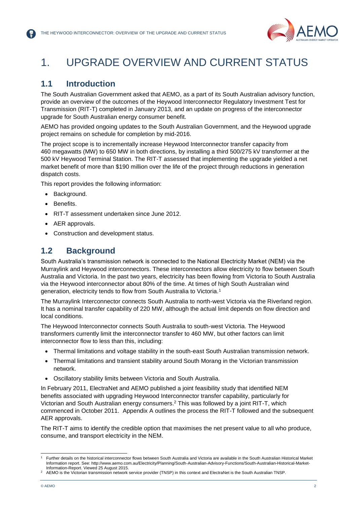

## <span id="page-3-0"></span>1. UPGRADE OVERVIEW AND CURRENT STATUS

#### <span id="page-3-1"></span>**1.1 Introduction**

The South Australian Government asked that AEMO, as a part of its South Australian advisory function, provide an overview of the outcomes of the Heywood Interconnector Regulatory Investment Test for Transmission (RIT-T) completed in January 2013, and an update on progress of the interconnector upgrade for South Australian energy consumer benefit.

AEMO has provided ongoing updates to the South Australian Government, and the Heywood upgrade project remains on schedule for completion by mid-2016.

The project scope is to incrementally increase Heywood Interconnector transfer capacity from 460 megawatts (MW) to 650 MW in both directions, by installing a third 500/275 kV transformer at the 500 kV Heywood Terminal Station. The RIT-T assessed that implementing the upgrade yielded a net market benefit of more than \$190 million over the life of the project through reductions in generation dispatch costs.

This report provides the following information:

- Background.
- Benefits.
- RIT-T assessment undertaken since June 2012.
- AER approvals.
- Construction and development status.

#### <span id="page-3-2"></span>**1.2 Background**

South Australia's transmission network is connected to the National Electricity Market (NEM) via the Murraylink and Heywood interconnectors. These interconnectors allow electricity to flow between South Australia and Victoria. In the past two years, electricity has been flowing from Victoria to South Australia via the Heywood interconnector about 80% of the time. At times of high South Australian wind generation, electricity tends to flow from South Australia to Victoria.<sup>1</sup>

The Murraylink Interconnector connects South Australia to north-west Victoria via the Riverland region. It has a nominal transfer capability of 220 MW, although the actual limit depends on flow direction and local conditions.

The Heywood Interconnector connects South Australia to south-west Victoria. The Heywood transformers currently limit the interconnector transfer to 460 MW, but other factors can limit interconnector flow to less than this, including:

- Thermal limitations and voltage stability in the south-east South Australian transmission network.
- Thermal limitations and transient stability around South Morang in the Victorian transmission network.
- Oscillatory stability limits between Victoria and South Australia.

In February 2011, ElectraNet and AEMO published a joint feasibility study that identified NEM benefits associated with upgrading Heywood Interconnector transfer capability, particularly for Victorian and South Australian energy consumers.<sup>2</sup> This was followed by a joint RIT-T, which commenced in October 2011. Appendix A outlines the process the RIT-T followed and the subsequent AER approvals.

The RIT-T aims to identify the credible option that maximises the net present value to all who produce, consume, and transport electricity in the NEM.

l

<sup>1</sup> Further details on the historical interconnector flows between South Australia and Victoria are available in the South Australian Historical Market Information report. See: http://www.aemo.com.au/Electricity/Planning/South-Australian-Advisory-Functions/South-Australian-Historical-Market-Information-Report. Viewed 25 August 2015.

AEMO is the Victorian transmission network service provider (TNSP) in this context and ElectraNet is the South Australian TNSP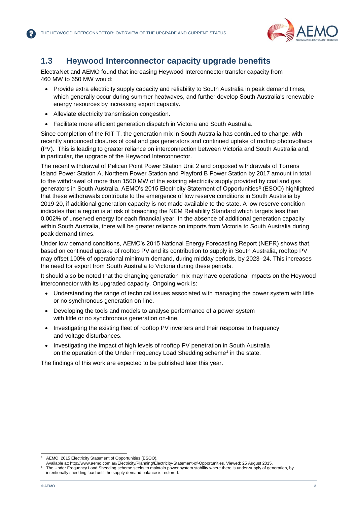

#### <span id="page-4-0"></span>**1.3 Heywood Interconnector capacity upgrade benefits**

ElectraNet and AEMO found that increasing Heywood Interconnector transfer capacity from 460 MW to 650 MW would:

- Provide extra electricity supply capacity and reliability to South Australia in peak demand times, which generally occur during summer heatwaves, and further develop South Australia's renewable energy resources by increasing export capacity.
- Alleviate electricity transmission congestion.
- Facilitate more efficient generation dispatch in Victoria and South Australia.

Since completion of the RIT-T, the generation mix in South Australia has continued to change, with recently announced closures of coal and gas generators and continued uptake of rooftop photovoltaics (PV). This is leading to greater reliance on interconnection between Victoria and South Australia and, in particular, the upgrade of the Heywood Interconnector.

The recent withdrawal of Pelican Point Power Station Unit 2 and proposed withdrawals of Torrens Island Power Station A, Northern Power Station and Playford B Power Station by 2017 amount in total to the withdrawal of more than 1500 MW of the existing electricity supply provided by coal and gas generators in South Australia. AEMO's 2015 Electricity Statement of Opportunities<sup>3</sup> (ESOO) highlighted that these withdrawals contribute to the emergence of low reserve conditions in South Australia by 2019-20, if additional generation capacity is not made available to the state. A low reserve condition indicates that a region is at risk of breaching the NEM Reliability Standard which targets less than 0.002% of unserved energy for each financial year. In the absence of additional generation capacity within South Australia, there will be greater reliance on imports from Victoria to South Australia during peak demand times.

Under low demand conditions, AEMO's 2015 National Energy Forecasting Report (NEFR) shows that, based on continued uptake of rooftop PV and its contribution to supply in South Australia, rooftop PV may offset 100% of operational minimum demand, during midday periods, by 2023–24. This increases the need for export from South Australia to Victoria during these periods.

It should also be noted that the changing generation mix may have operational impacts on the Heywood interconnector with its upgraded capacity. Ongoing work is:

- Understanding the range of technical issues associated with managing the power system with little or no synchronous generation on-line.
- Developing the tools and models to analyse performance of a power system with little or no synchronous generation on-line.
- Investigating the existing fleet of rooftop PV inverters and their response to frequency and voltage disturbances.
- Investigating the impact of high levels of rooftop PV penetration in South Australia on the operation of the Under Frequency Load Shedding scheme<sup>4</sup> in the state.

The findings of this work are expected to be published later this year.

l AEMO. 2015 Electricity Statement of Opportunities (ESOO).

Available at: http://www.aemo.com.au/Electricity/Planning/Electricity-Statement-of-Opportunities. Viewed: 25 August 2015.

The Under Frequency Load Shedding scheme seeks to maintain power system stability where there is under-supply of generation, by intentionally shedding load until the supply-demand balance is restored.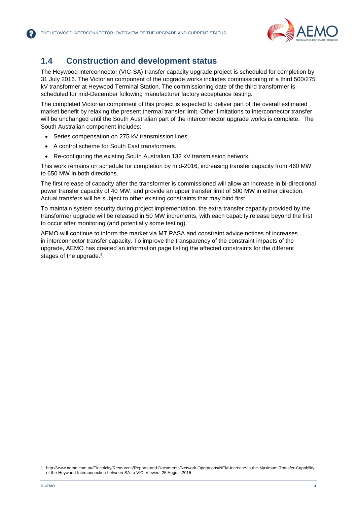

#### <span id="page-5-0"></span>**1.4 Construction and development status**

The Heywood interconnector (VIC-SA) transfer capacity upgrade project is scheduled for completion by 31 July 2016. The Victorian component of the upgrade works includes commissioning of a third 500/275 kV transformer at Heywood Terminal Station. The commissioning date of the third transformer is scheduled for mid-December following manufacturer factory acceptance testing.

The completed Victorian component of this project is expected to deliver part of the overall estimated market benefit by relaxing the present thermal transfer limit. Other limitations to interconnector transfer will be unchanged until the South Australian part of the interconnector upgrade works is complete. The South Australian component includes:

- Series compensation on 275 kV transmission lines.
- A control scheme for South East transformers.
- Re-configuring the existing South Australian 132 kV transmission network.

This work remains on schedule for completion by mid-2016, increasing transfer capacity from 460 MW to 650 MW in both directions.

The first release of capacity after the transformer is commissioned will allow an increase in bi-directional power transfer capacity of 40 MW, and provide an upper transfer limit of 500 MW in either direction. Actual transfers will be subject to other existing constraints that may bind first.

To maintain system security during project implementation, the extra transfer capacity provided by the transformer upgrade will be released in 50 MW increments, with each capacity release beyond the first to occur after monitoring (and potentially some testing).

AEMO will continue to inform the market via MT PASA and constraint advice notices of increases in interconnector transfer capacity. To improve the transparency of the constraint impacts of the upgrade, AEMO has created an information page listing the affected constraints for the different stages of the upgrade.<sup>5</sup>

l

<sup>5</sup> http://www.aemo.com.au/Electricity/Resources/Reports-and-Documents/Network-Operations/NEM-Increase-in-the-Maximum-Transfer-Capabilityof-the-Heywood-Interconnection-between-SA-to-VIC. Viewed: 26 August 2015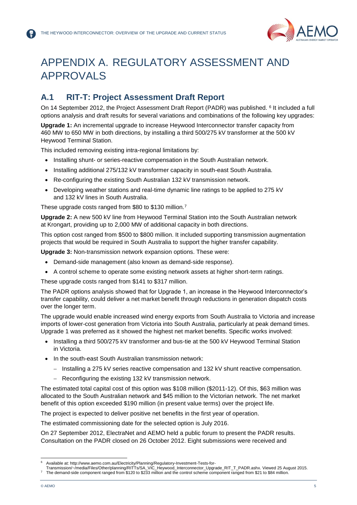

# <span id="page-6-0"></span>APPENDIX A. REGULATORY ASSESSMENT AND APPROVALS

### <span id="page-6-1"></span>**A.1 RIT-T: Project Assessment Draft Report**

On 14 September 2012, the Project Assessment Draft Report (PADR) was published. <sup>6</sup> It included a full options analysis and draft results for several variations and combinations of the following key upgrades:

**Upgrade 1:** An incremental upgrade to increase Heywood Interconnector transfer capacity from 460 MW to 650 MW in both directions, by installing a third 500/275 kV transformer at the 500 kV Heywood Terminal Station.

This included removing existing intra-regional limitations by:

- Installing shunt- or series-reactive compensation in the South Australian network.
- Installing additional 275/132 kV transformer capacity in south-east South Australia.
- Re-configuring the existing South Australian 132 kV transmission network.
- Developing weather stations and real-time dynamic line ratings to be applied to 275 kV and 132 kV lines in South Australia.

These upgrade costs ranged from \$80 to \$130 million.<sup>7</sup>

**Upgrade 2:** A new 500 kV line from Heywood Terminal Station into the South Australian network at Krongart, providing up to 2,000 MW of additional capacity in both directions.

This option cost ranged from \$500 to \$800 million. It included supporting transmission augmentation projects that would be required in South Australia to support the higher transfer capability.

**Upgrade 3:** Non-transmission network expansion options. These were:

- Demand-side management (also known as demand-side response).
- A control scheme to operate some existing network assets at higher short-term ratings.

These upgrade costs ranged from \$141 to \$317 million.

The PADR options analysis showed that for Upgrade 1, an increase in the Heywood Interconnector's transfer capability, could deliver a net market benefit through reductions in generation dispatch costs over the longer term.

The upgrade would enable increased wind energy exports from South Australia to Victoria and increase imports of lower-cost generation from Victoria into South Australia, particularly at peak demand times. Upgrade 1 was preferred as it showed the highest net market benefits. Specific works involved:

- Installing a third 500/275 kV transformer and bus-tie at the 500 kV Heywood Terminal Station in Victoria.
- In the south-east South Australian transmission network:
	- Installing a 275 kV series reactive compensation and 132 kV shunt reactive compensation.
	- Reconfiguring the existing 132 kV transmission network.

The estimated total capital cost of this option was \$108 million (\$2011-12). Of this, \$63 million was allocated to the South Australian network and \$45 million to the Victorian network. The net market benefit of this option exceeded \$190 million (in present value terms) over the project life.

The project is expected to deliver positive net benefits in the first year of operation.

The estimated commissioning date for the selected option is July 2016.

On 27 September 2012, ElectraNet and AEMO held a public forum to present the PADR results. Consultation on the PADR closed on 26 October 2012. Eight submissions were received and

l <sup>6</sup> Available at: http://www.aemo.com.au/Electricity/Planning/Regulatory-Investment-Tests-for-

Transmission/~/media/Files/Other/planning/RITTs/SA\_VIC\_Heywood\_Interconnector\_Upgrade\_RIT\_T\_PADR.ashx. Viewed 25 August 2015. <sup>7</sup> The demand-side component ranged from \$120 to \$233 million and the control scheme component ranged from \$21 to \$84 million.